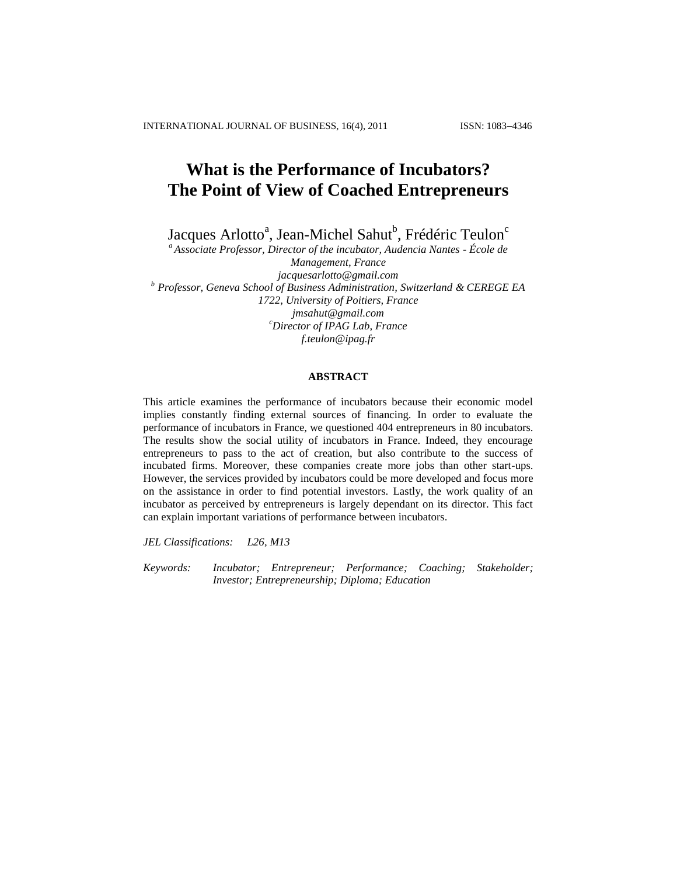INTERNATIONAL JOURNAL OF BUSINESS, 16(4), 2011 ISSN: 1083-4346

# **What is the Performance of Incubators? The Point of View of Coached Entrepreneurs**

Jacques Arlotto<sup>a</sup>, Jean-Michel Sahut<sup>b</sup>, Frédéric Teulon<sup>c</sup>

*<sup>a</sup> Associate Professor, Director of the incubator, Audencia Nantes - École de Management, France [jacquesarlotto@gmail.com](mailto:jacquesarlotto@gmail.com) b Professor, Geneva School of Business Administration, Switzerland & CEREGE EA 1722, University of Poitiers, France [jmsahut@gmail.com](mailto:jmsahut@gmail.com) <sup>c</sup>Director of IPAG Lab, France [f.teulon@ipag.fr](mailto:f.teulon@ipag.fr)*

# **ABSTRACT**

This article examines the performance of incubators because their economic model implies constantly finding external sources of financing. In order to evaluate the performance of incubators in France, we questioned 404 entrepreneurs in 80 incubators. The results show the social utility of incubators in France. Indeed, they encourage entrepreneurs to pass to the act of creation, but also contribute to the success of incubated firms. Moreover, these companies create more jobs than other start-ups. However, the services provided by incubators could be more developed and focus more on the assistance in order to find potential investors. Lastly, the work quality of an incubator as perceived by entrepreneurs is largely dependant on its director. This fact can explain important variations of performance between incubators.

*JEL Classifications: L26, M13*

*Keywords: Incubator; Entrepreneur; Performance; Coaching; Stakeholder; Investor; Entrepreneurship; Diploma; Education*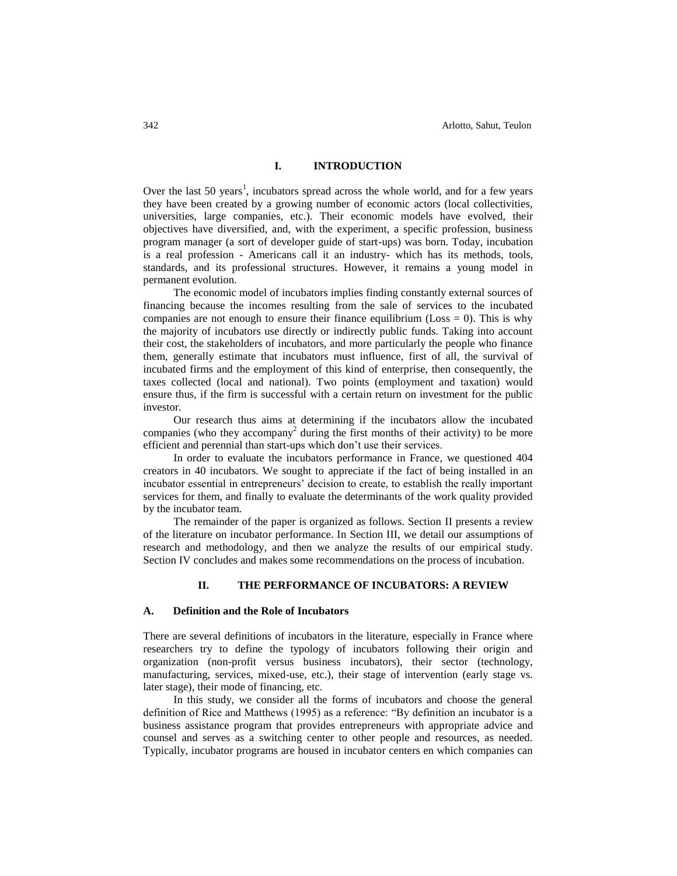# **I. INTRODUCTION**

Over the last 50 years<sup>1</sup>, incubators spread across the whole world, and for a few years they have been created by a growing number of economic actors (local collectivities, universities, large companies, etc.). Their economic models have evolved, their objectives have diversified, and, with the experiment, a specific profession, business program manager (a sort of developer guide of start-ups) was born. Today, incubation is a real profession - Americans call it an industry- which has its methods, tools, standards, and its professional structures. However, it remains a young model in permanent evolution.

The economic model of incubators implies finding constantly external sources of financing because the incomes resulting from the sale of services to the incubated companies are not enough to ensure their finance equilibrium (Loss  $= 0$ ). This is why the majority of incubators use directly or indirectly public funds. Taking into account their cost, the stakeholders of incubators, and more particularly the people who finance them, generally estimate that incubators must influence, first of all, the survival of incubated firms and the employment of this kind of enterprise, then consequently, the taxes collected (local and national). Two points (employment and taxation) would ensure thus, if the firm is successful with a certain return on investment for the public investor.

Our research thus aims at determining if the incubators allow the incubated companies (who they accompany<sup>2</sup> during the first months of their activity) to be more efficient and perennial than start-ups which don"t use their services.

In order to evaluate the incubators performance in France, we questioned 404 creators in 40 incubators. We sought to appreciate if the fact of being installed in an incubator essential in entrepreneurs" decision to create, to establish the really important services for them, and finally to evaluate the determinants of the work quality provided by the incubator team.

The remainder of the paper is organized as follows. Section II presents a review of the literature on incubator performance. In Section III, we detail our assumptions of research and methodology, and then we analyze the results of our empirical study. Section IV concludes and makes some recommendations on the process of incubation.

# **II. THE PERFORMANCE OF INCUBATORS: A REVIEW**

#### **A. Definition and the Role of Incubators**

There are several definitions of incubators in the literature, especially in France where researchers try to define the typology of incubators following their origin and organization (non-profit versus business incubators), their sector (technology, manufacturing, services, mixed-use, etc.), their stage of intervention (early stage vs. later stage), their mode of financing, etc.

In this study, we consider all the forms of incubators and choose the general definition of Rice and Matthews (1995) as a reference: "By definition an incubator is a business assistance program that provides entrepreneurs with appropriate advice and counsel and serves as a switching center to other people and resources, as needed. Typically, incubator programs are housed in incubator centers en which companies can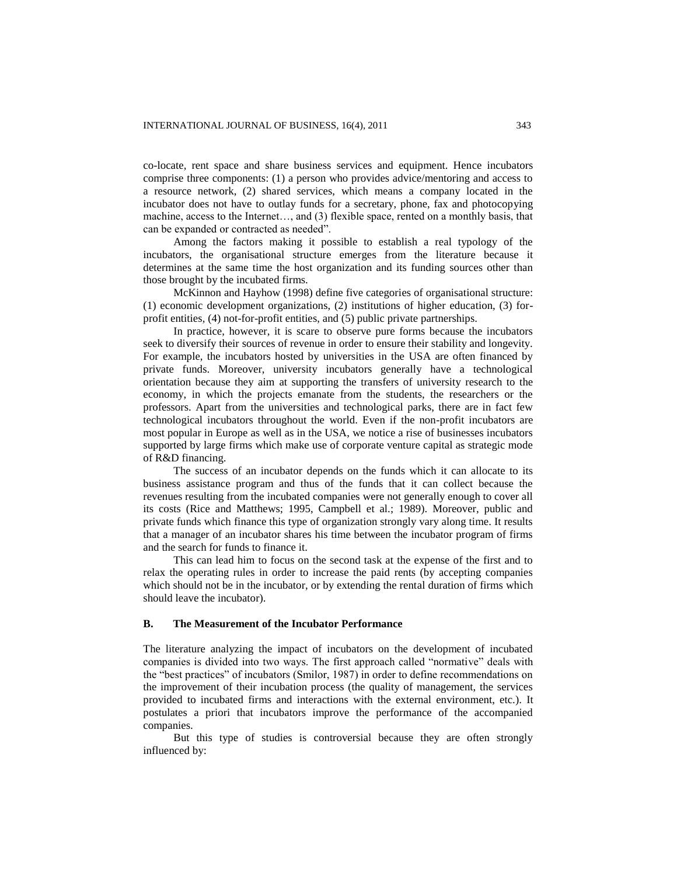co-locate, rent space and share business services and equipment. Hence incubators comprise three components: (1) a person who provides advice/mentoring and access to a resource network, (2) shared services, which means a company located in the incubator does not have to outlay funds for a secretary, phone, fax and photocopying machine, access to the Internet…, and (3) flexible space, rented on a monthly basis, that can be expanded or contracted as needed".

Among the factors making it possible to establish a real typology of the incubators, the organisational structure emerges from the literature because it determines at the same time the host organization and its funding sources other than those brought by the incubated firms.

McKinnon and Hayhow (1998) define five categories of organisational structure: (1) economic development organizations, (2) institutions of higher education, (3) forprofit entities, (4) not-for-profit entities, and (5) public private partnerships.

In practice, however, it is scare to observe pure forms because the incubators seek to diversify their sources of revenue in order to ensure their stability and longevity. For example, the incubators hosted by universities in the USA are often financed by private funds. Moreover, university incubators generally have a technological orientation because they aim at supporting the transfers of university research to the economy, in which the projects emanate from the students, the researchers or the professors. Apart from the universities and technological parks, there are in fact few technological incubators throughout the world. Even if the non-profit incubators are most popular in Europe as well as in the USA, we notice a rise of businesses incubators supported by large firms which make use of corporate venture capital as strategic mode of R&D financing.

The success of an incubator depends on the funds which it can allocate to its business assistance program and thus of the funds that it can collect because the revenues resulting from the incubated companies were not generally enough to cover all its costs (Rice and Matthews; 1995, Campbell et al.; 1989). Moreover, public and private funds which finance this type of organization strongly vary along time. It results that a manager of an incubator shares his time between the incubator program of firms and the search for funds to finance it.

This can lead him to focus on the second task at the expense of the first and to relax the operating rules in order to increase the paid rents (by accepting companies which should not be in the incubator, or by extending the rental duration of firms which should leave the incubator).

# **B. The Measurement of the Incubator Performance**

The literature analyzing the impact of incubators on the development of incubated companies is divided into two ways. The first approach called "normative" deals with the "best practices" of incubators (Smilor, 1987) in order to define recommendations on the improvement of their incubation process (the quality of management, the services provided to incubated firms and interactions with the external environment, etc.). It postulates a priori that incubators improve the performance of the accompanied companies.

But this type of studies is controversial because they are often strongly influenced by: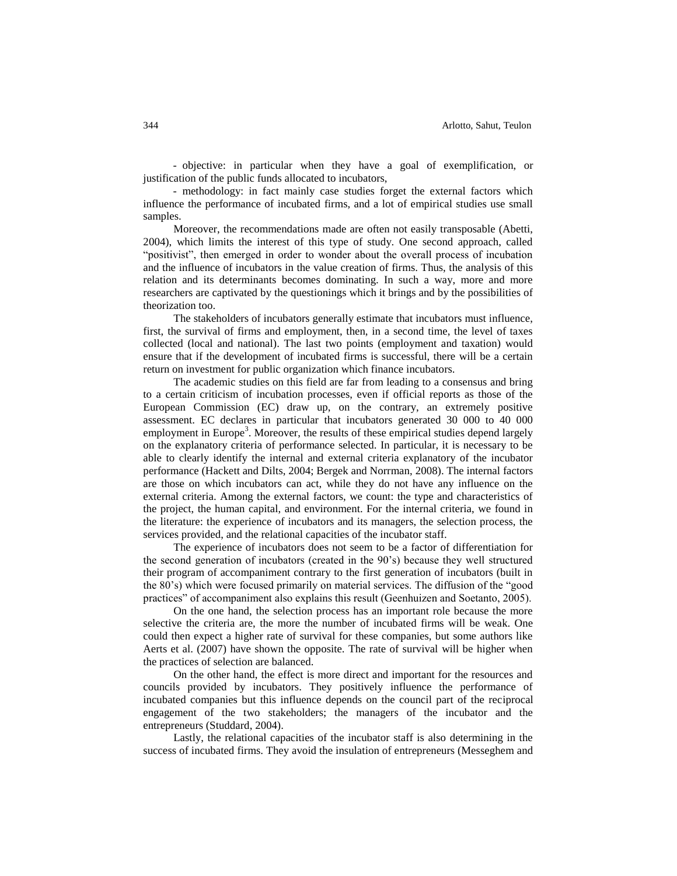- objective: in particular when they have a goal of exemplification, or justification of the public funds allocated to incubators,

- methodology: in fact mainly case studies forget the external factors which influence the performance of incubated firms, and a lot of empirical studies use small samples.

Moreover, the recommendations made are often not easily transposable (Abetti, 2004), which limits the interest of this type of study. One second approach, called "positivist", then emerged in order to wonder about the overall process of incubation and the influence of incubators in the value creation of firms. Thus, the analysis of this relation and its determinants becomes dominating. In such a way, more and more researchers are captivated by the questionings which it brings and by the possibilities of theorization too.

The stakeholders of incubators generally estimate that incubators must influence, first, the survival of firms and employment, then, in a second time, the level of taxes collected (local and national). The last two points (employment and taxation) would ensure that if the development of incubated firms is successful, there will be a certain return on investment for public organization which finance incubators.

The academic studies on this field are far from leading to a consensus and bring to a certain criticism of incubation processes, even if official reports as those of the European Commission (EC) draw up, on the contrary, an extremely positive assessment. EC declares in particular that incubators generated 30 000 to 40 000 employment in Europe<sup>3</sup>. Moreover, the results of these empirical studies depend largely on the explanatory criteria of performance selected. In particular, it is necessary to be able to clearly identify the internal and external criteria explanatory of the incubator performance (Hackett and Dilts, 2004; Bergek and Norrman, 2008). The internal factors are those on which incubators can act, while they do not have any influence on the external criteria. Among the external factors, we count: the type and characteristics of the project, the human capital, and environment. For the internal criteria, we found in the literature: the experience of incubators and its managers, the selection process, the services provided, and the relational capacities of the incubator staff.

The experience of incubators does not seem to be a factor of differentiation for the second generation of incubators (created in the 90"s) because they well structured their program of accompaniment contrary to the first generation of incubators (built in the 80"s) which were focused primarily on material services. The diffusion of the "good practices" of accompaniment also explains this result (Geenhuizen and Soetanto, 2005).

On the one hand, the selection process has an important role because the more selective the criteria are, the more the number of incubated firms will be weak. One could then expect a higher rate of survival for these companies, but some authors like Aerts et al. (2007) have shown the opposite. The rate of survival will be higher when the practices of selection are balanced.

On the other hand, the effect is more direct and important for the resources and councils provided by incubators. They positively influence the performance of incubated companies but this influence depends on the council part of the reciprocal engagement of the two stakeholders; the managers of the incubator and the entrepreneurs (Studdard, 2004).

Lastly, the relational capacities of the incubator staff is also determining in the success of incubated firms. They avoid the insulation of entrepreneurs (Messeghem and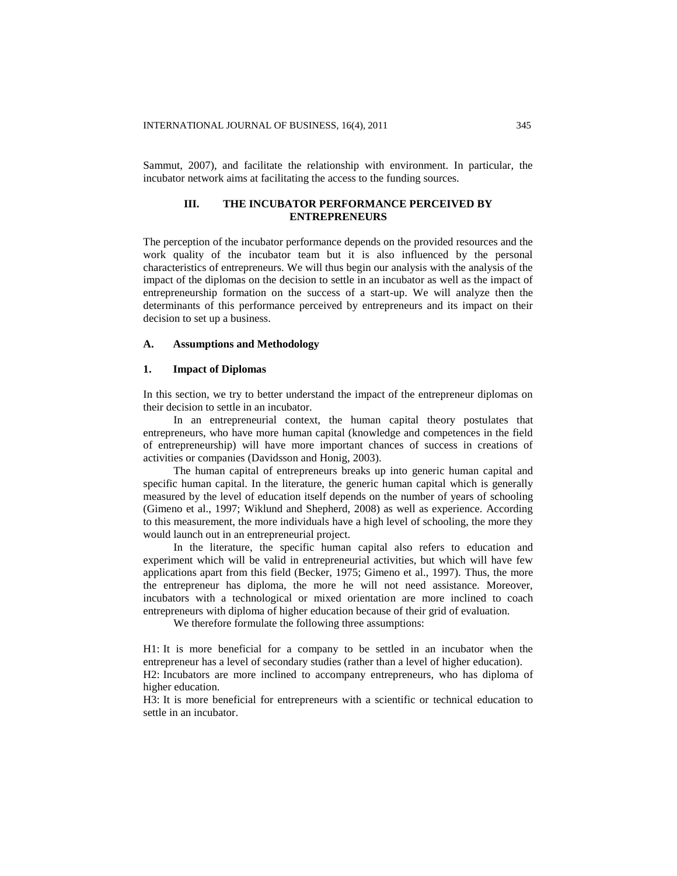Sammut, 2007), and facilitate the relationship with environment. In particular, the incubator network aims at facilitating the access to the funding sources.

# **III. THE INCUBATOR PERFORMANCE PERCEIVED BY ENTREPRENEURS**

The perception of the incubator performance depends on the provided resources and the work quality of the incubator team but it is also influenced by the personal characteristics of entrepreneurs. We will thus begin our analysis with the analysis of the impact of the diplomas on the decision to settle in an incubator as well as the impact of entrepreneurship formation on the success of a start-up. We will analyze then the determinants of this performance perceived by entrepreneurs and its impact on their decision to set up a business.

# **A. Assumptions and Methodology**

#### **1. Impact of Diplomas**

In this section, we try to better understand the impact of the entrepreneur diplomas on their decision to settle in an incubator.

In an entrepreneurial context, the human capital theory postulates that entrepreneurs, who have more human capital (knowledge and competences in the field of entrepreneurship) will have more important chances of success in creations of activities or companies (Davidsson and Honig, 2003).

The human capital of entrepreneurs breaks up into generic human capital and specific human capital. In the literature, the generic human capital which is generally measured by the level of education itself depends on the number of years of schooling (Gimeno et al., 1997; Wiklund and Shepherd, 2008) as well as experience. According to this measurement, the more individuals have a high level of schooling, the more they would launch out in an entrepreneurial project.

In the literature, the specific human capital also refers to education and experiment which will be valid in entrepreneurial activities, but which will have few applications apart from this field (Becker, 1975; Gimeno et al., 1997). Thus, the more the entrepreneur has diploma, the more he will not need assistance. Moreover, incubators with a technological or mixed orientation are more inclined to coach entrepreneurs with diploma of higher education because of their grid of evaluation.

We therefore formulate the following three assumptions:

H1: It is more beneficial for a company to be settled in an incubator when the entrepreneur has a level of secondary studies (rather than a level of higher education). H2: Incubators are more inclined to accompany entrepreneurs, who has diploma of higher education.

H3: It is more beneficial for entrepreneurs with a scientific or technical education to settle in an incubator.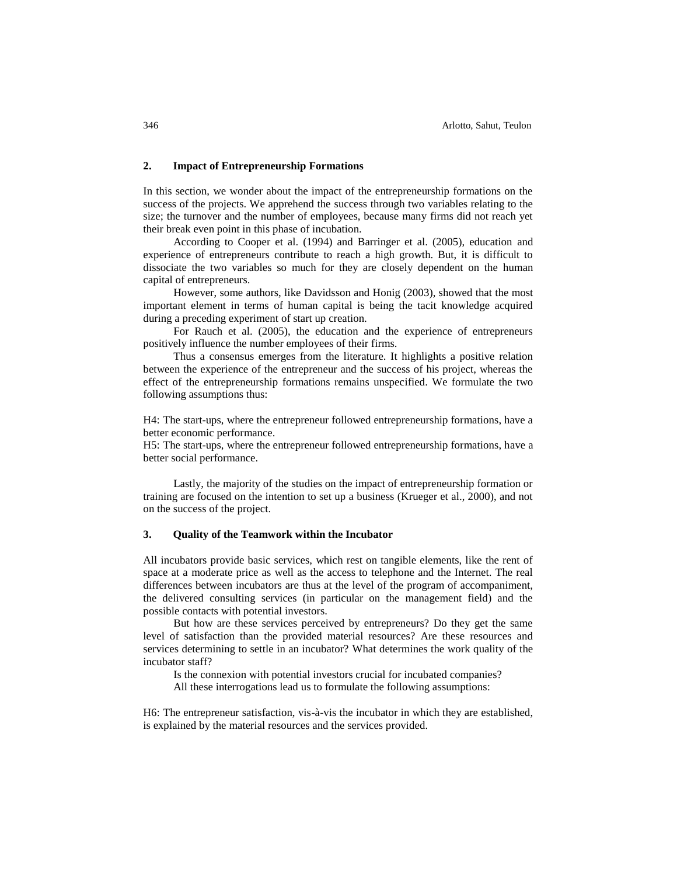# **2. Impact of Entrepreneurship Formations**

In this section, we wonder about the impact of the entrepreneurship formations on the success of the projects. We apprehend the success through two variables relating to the size; the turnover and the number of employees, because many firms did not reach yet their break even point in this phase of incubation.

According to Cooper et al. (1994) and Barringer et al. (2005), education and experience of entrepreneurs contribute to reach a high growth. But, it is difficult to dissociate the two variables so much for they are closely dependent on the human capital of entrepreneurs.

However, some authors, like Davidsson and Honig (2003), showed that the most important element in terms of human capital is being the tacit knowledge acquired during a preceding experiment of start up creation.

For Rauch et al. (2005), the education and the experience of entrepreneurs positively influence the number employees of their firms.

Thus a consensus emerges from the literature. It highlights a positive relation between the experience of the entrepreneur and the success of his project, whereas the effect of the entrepreneurship formations remains unspecified. We formulate the two following assumptions thus:

H4: The start-ups, where the entrepreneur followed entrepreneurship formations, have a better economic performance.

H5: The start-ups, where the entrepreneur followed entrepreneurship formations, have a better social performance.

Lastly, the majority of the studies on the impact of entrepreneurship formation or training are focused on the intention to set up a business (Krueger et al., 2000), and not on the success of the project.

# **3. Quality of the Teamwork within the Incubator**

All incubators provide basic services, which rest on tangible elements, like the rent of space at a moderate price as well as the access to telephone and the Internet. The real differences between incubators are thus at the level of the program of accompaniment, the delivered consulting services (in particular on the management field) and the possible contacts with potential investors.

But how are these services perceived by entrepreneurs? Do they get the same level of satisfaction than the provided material resources? Are these resources and services determining to settle in an incubator? What determines the work quality of the incubator staff?

Is the connexion with potential investors crucial for incubated companies?

All these interrogations lead us to formulate the following assumptions:

H6: The entrepreneur satisfaction, vis-à-vis the incubator in which they are established, is explained by the material resources and the services provided.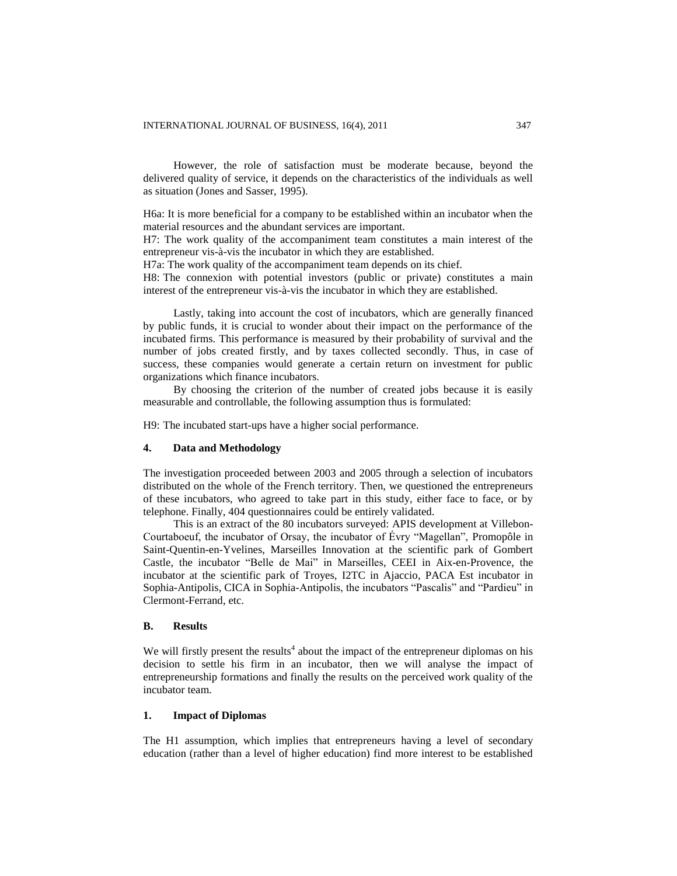However, the role of satisfaction must be moderate because, beyond the delivered quality of service, it depends on the characteristics of the individuals as well as situation (Jones and Sasser, 1995).

H6a: It is more beneficial for a company to be established within an incubator when the material resources and the abundant services are important.

H7: The work quality of the accompaniment team constitutes a main interest of the entrepreneur vis-à-vis the incubator in which they are established.

H7a: The work quality of the accompaniment team depends on its chief.

H8: The connexion with potential investors (public or private) constitutes a main interest of the entrepreneur vis-à-vis the incubator in which they are established.

Lastly, taking into account the cost of incubators, which are generally financed by public funds, it is crucial to wonder about their impact on the performance of the incubated firms. This performance is measured by their probability of survival and the number of jobs created firstly, and by taxes collected secondly. Thus, in case of success, these companies would generate a certain return on investment for public organizations which finance incubators.

By choosing the criterion of the number of created jobs because it is easily measurable and controllable, the following assumption thus is formulated:

H9: The incubated start-ups have a higher social performance.

# **4. Data and Methodology**

The investigation proceeded between 2003 and 2005 through a selection of incubators distributed on the whole of the French territory. Then, we questioned the entrepreneurs of these incubators, who agreed to take part in this study, either face to face, or by telephone. Finally, 404 questionnaires could be entirely validated.

This is an extract of the 80 incubators surveyed: APIS development at Villebon-Courtaboeuf, the incubator of Orsay, the incubator of Évry "Magellan", Promopôle in Saint-Quentin-en-Yvelines, Marseilles Innovation at the scientific park of Gombert Castle, the incubator "Belle de Mai" in Marseilles, CEEI in Aix-en-Provence, the incubator at the scientific park of Troyes, I2TC in Ajaccio, PACA Est incubator in Sophia-Antipolis, CICA in Sophia-Antipolis, the incubators "Pascalis" and "Pardieu" in Clermont-Ferrand, etc.

# **B. Results**

We will firstly present the results<sup>4</sup> about the impact of the entrepreneur diplomas on his decision to settle his firm in an incubator, then we will analyse the impact of entrepreneurship formations and finally the results on the perceived work quality of the incubator team.

# **1. Impact of Diplomas**

The H1 assumption, which implies that entrepreneurs having a level of secondary education (rather than a level of higher education) find more interest to be established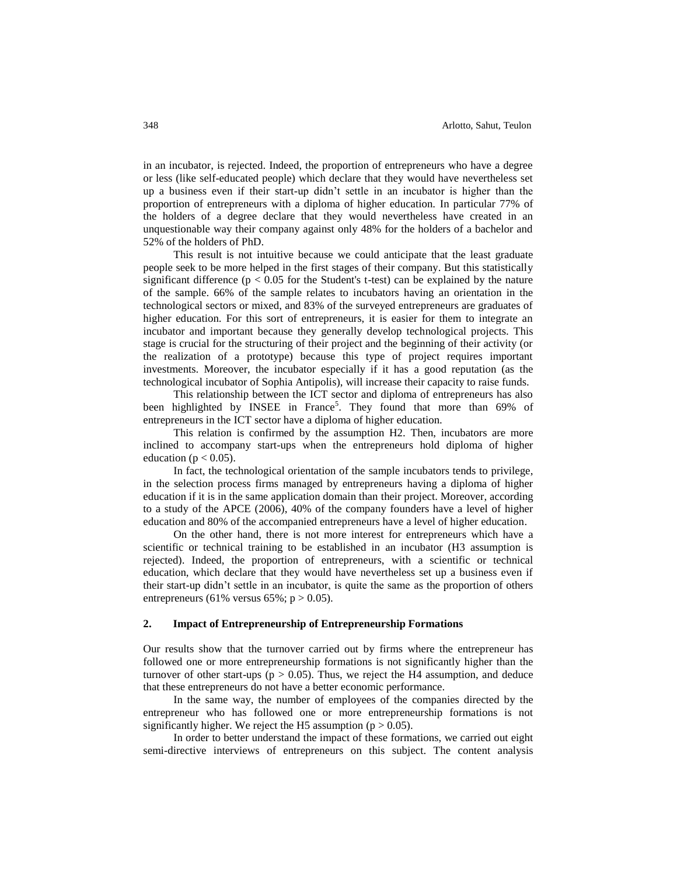in an incubator, is rejected. Indeed, the proportion of entrepreneurs who have a degree or less (like self-educated people) which declare that they would have nevertheless set up a business even if their start-up didn"t settle in an incubator is higher than the proportion of entrepreneurs with a diploma of higher education. In particular 77% of the holders of a degree declare that they would nevertheless have created in an unquestionable way their company against only 48% for the holders of a bachelor and 52% of the holders of PhD.

This result is not intuitive because we could anticipate that the least graduate people seek to be more helped in the first stages of their company. But this statistically significant difference ( $p < 0.05$  for the Student's t-test) can be explained by the nature of the sample. 66% of the sample relates to incubators having an orientation in the technological sectors or mixed, and 83% of the surveyed entrepreneurs are graduates of higher education. For this sort of entrepreneurs, it is easier for them to integrate an incubator and important because they generally develop technological projects. This stage is crucial for the structuring of their project and the beginning of their activity (or the realization of a prototype) because this type of project requires important investments. Moreover, the incubator especially if it has a good reputation (as the technological incubator of Sophia Antipolis), will increase their capacity to raise funds.

This relationship between the ICT sector and diploma of entrepreneurs has also been highlighted by INSEE in France<sup>5</sup>. They found that more than 69% of entrepreneurs in the ICT sector have a diploma of higher education.

This relation is confirmed by the assumption H2. Then, incubators are more inclined to accompany start-ups when the entrepreneurs hold diploma of higher education ( $p < 0.05$ ).

In fact, the technological orientation of the sample incubators tends to privilege, in the selection process firms managed by entrepreneurs having a diploma of higher education if it is in the same application domain than their project. Moreover, according to a study of the APCE (2006), 40% of the company founders have a level of higher education and 80% of the accompanied entrepreneurs have a level of higher education.

On the other hand, there is not more interest for entrepreneurs which have a scientific or technical training to be established in an incubator (H3 assumption is rejected). Indeed, the proportion of entrepreneurs, with a scientific or technical education, which declare that they would have nevertheless set up a business even if their start-up didn"t settle in an incubator, is quite the same as the proportion of others entrepreneurs (61% versus 65%;  $p > 0.05$ ).

#### **2. Impact of Entrepreneurship of Entrepreneurship Formations**

Our results show that the turnover carried out by firms where the entrepreneur has followed one or more entrepreneurship formations is not significantly higher than the turnover of other start-ups ( $p > 0.05$ ). Thus, we reject the H4 assumption, and deduce that these entrepreneurs do not have a better economic performance.

In the same way, the number of employees of the companies directed by the entrepreneur who has followed one or more entrepreneurship formations is not significantly higher. We reject the H5 assumption ( $p > 0.05$ ).

In order to better understand the impact of these formations, we carried out eight semi-directive interviews of entrepreneurs on this subject. The content analysis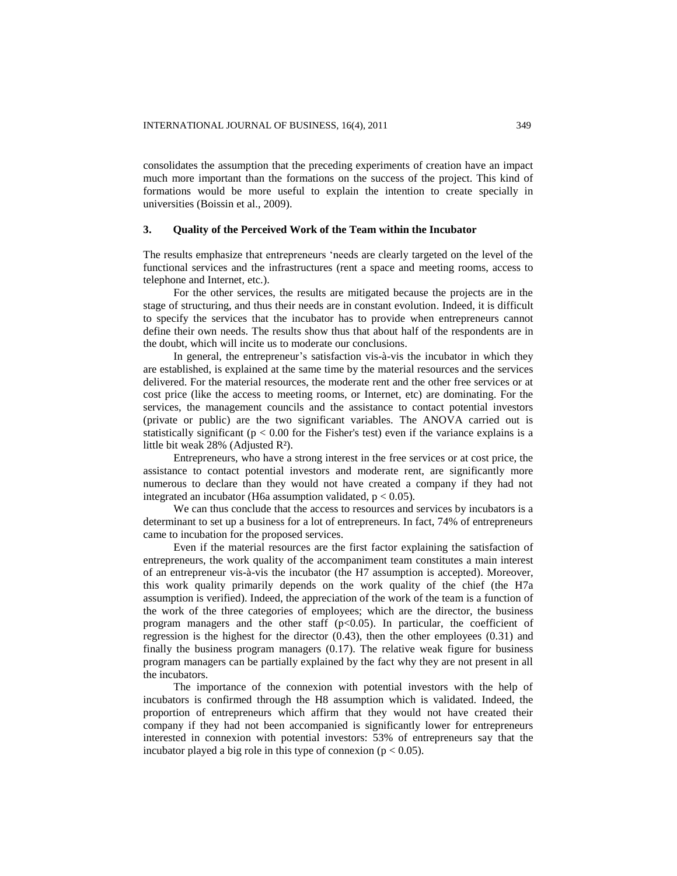consolidates the assumption that the preceding experiments of creation have an impact much more important than the formations on the success of the project. This kind of formations would be more useful to explain the intention to create specially in universities (Boissin et al., 2009).

#### **3. Quality of the Perceived Work of the Team within the Incubator**

The results emphasize that entrepreneurs "needs are clearly targeted on the level of the functional services and the infrastructures (rent a space and meeting rooms, access to telephone and Internet, etc.).

For the other services, the results are mitigated because the projects are in the stage of structuring, and thus their needs are in constant evolution. Indeed, it is difficult to specify the services that the incubator has to provide when entrepreneurs cannot define their own needs. The results show thus that about half of the respondents are in the doubt, which will incite us to moderate our conclusions.

In general, the entrepreneur"s satisfaction vis-à-vis the incubator in which they are established, is explained at the same time by the material resources and the services delivered. For the material resources, the moderate rent and the other free services or at cost price (like the access to meeting rooms, or Internet, etc) are dominating. For the services, the management councils and the assistance to contact potential investors (private or public) are the two significant variables. The ANOVA carried out is statistically significant ( $p < 0.00$  for the Fisher's test) even if the variance explains is a little bit weak 28% (Adjusted R²).

Entrepreneurs, who have a strong interest in the free services or at cost price, the assistance to contact potential investors and moderate rent, are significantly more numerous to declare than they would not have created a company if they had not integrated an incubator (H6a assumption validated,  $p < 0.05$ ).

We can thus conclude that the access to resources and services by incubators is a determinant to set up a business for a lot of entrepreneurs. In fact, 74% of entrepreneurs came to incubation for the proposed services.

Even if the material resources are the first factor explaining the satisfaction of entrepreneurs, the work quality of the accompaniment team constitutes a main interest of an entrepreneur vis-à-vis the incubator (the H7 assumption is accepted). Moreover, this work quality primarily depends on the work quality of the chief (the H7a assumption is verified). Indeed, the appreciation of the work of the team is a function of the work of the three categories of employees; which are the director, the business program managers and the other staff  $(p<0.05)$ . In particular, the coefficient of regression is the highest for the director (0.43), then the other employees (0.31) and finally the business program managers (0.17). The relative weak figure for business program managers can be partially explained by the fact why they are not present in all the incubators.

The importance of the connexion with potential investors with the help of incubators is confirmed through the H8 assumption which is validated. Indeed, the proportion of entrepreneurs which affirm that they would not have created their company if they had not been accompanied is significantly lower for entrepreneurs interested in connexion with potential investors: 53% of entrepreneurs say that the incubator played a big role in this type of connexion ( $p < 0.05$ ).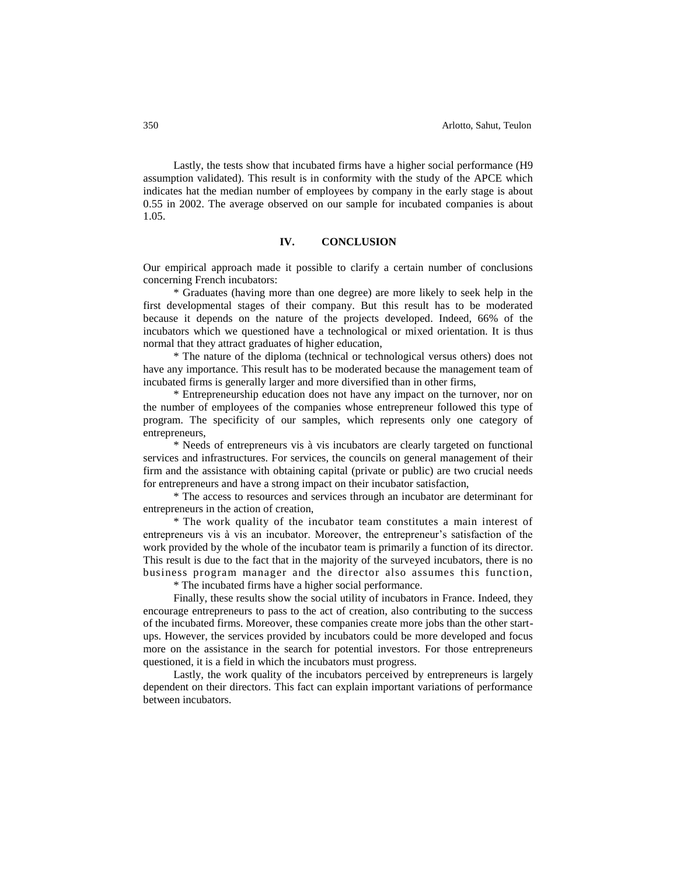Lastly, the tests show that incubated firms have a higher social performance (H9 assumption validated). This result is in conformity with the study of the APCE which indicates hat the median number of employees by company in the early stage is about 0.55 in 2002. The average observed on our sample for incubated companies is about 1.05.

#### **IV. CONCLUSION**

Our empirical approach made it possible to clarify a certain number of conclusions concerning French incubators:

\* Graduates (having more than one degree) are more likely to seek help in the first developmental stages of their company. But this result has to be moderated because it depends on the nature of the projects developed. Indeed, 66% of the incubators which we questioned have a technological or mixed orientation. It is thus normal that they attract graduates of higher education,

\* The nature of the diploma (technical or technological versus others) does not have any importance. This result has to be moderated because the management team of incubated firms is generally larger and more diversified than in other firms,

\* Entrepreneurship education does not have any impact on the turnover, nor on the number of employees of the companies whose entrepreneur followed this type of program. The specificity of our samples, which represents only one category of entrepreneurs,

\* Needs of entrepreneurs vis à vis incubators are clearly targeted on functional services and infrastructures. For services, the councils on general management of their firm and the assistance with obtaining capital (private or public) are two crucial needs for entrepreneurs and have a strong impact on their incubator satisfaction,

\* The access to resources and services through an incubator are determinant for entrepreneurs in the action of creation,

\* The work quality of the incubator team constitutes a main interest of entrepreneurs vis à vis an incubator. Moreover, the entrepreneur"s satisfaction of the work provided by the whole of the incubator team is primarily a function of its director. This result is due to the fact that in the majority of the surveyed incubators, there is no business program manager and the director also assumes this function,

\* The incubated firms have a higher social performance.

Finally, these results show the social utility of incubators in France. Indeed, they encourage entrepreneurs to pass to the act of creation, also contributing to the success of the incubated firms. Moreover, these companies create more jobs than the other startups. However, the services provided by incubators could be more developed and focus more on the assistance in the search for potential investors. For those entrepreneurs questioned, it is a field in which the incubators must progress.

Lastly, the work quality of the incubators perceived by entrepreneurs is largely dependent on their directors. This fact can explain important variations of performance between incubators.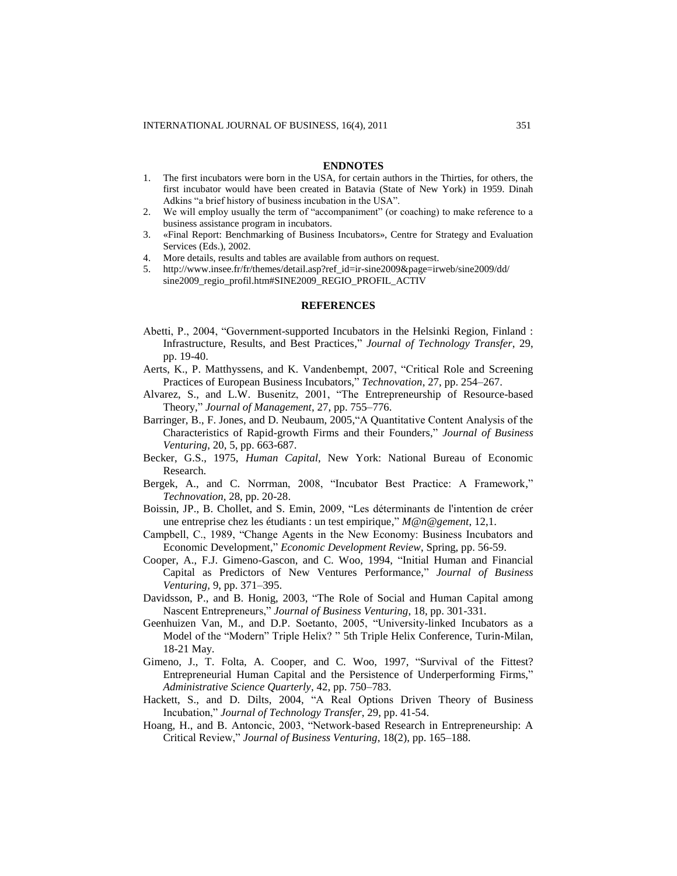#### **ENDNOTES**

- 1. The first incubators were born in the USA, for certain authors in the Thirties, for others, the first incubator would have been created in Batavia (State of New York) in 1959. Dinah Adkins "a brief history of business incubation in the USA".
- 2. We will employ usually the term of "accompaniment" (or coaching) to make reference to a business assistance program in incubators.
- 3. «Final Report: Benchmarking of Business Incubators», Centre for Strategy and Evaluation Services (Eds.), 2002.
- 4. More details, results and tables are available from authors on request.
- 5. http://www.insee.fr/fr/themes/detail.asp?ref\_id=ir-sine2009&page=irweb/sine2009/dd/ sine2009\_regio\_profil.htm#SINE2009\_REGIO\_PROFIL\_ACTIV

#### **REFERENCES**

- Abetti, P., 2004, "Government-supported Incubators in the Helsinki Region, Finland : Infrastructure, Results, and Best Practices," *Journal of Technology Transfer*, 29, pp. 19-40.
- Aerts, K., P. Matthyssens, and K. Vandenbempt, 2007, "Critical Role and Screening Practices of European Business Incubators," *Technovation*, 27, pp. 254–267.
- Alvarez, S., and L.W. Busenitz, 2001, "The Entrepreneurship of Resource-based Theory," *Journal of Management*, 27, pp. 755–776.
- Barringer, B., F. Jones, and D. Neubaum, 2005,"A Quantitative Content Analysis of the Characteristics of Rapid-growth Firms and their Founders," *Journal of Business Venturing*, 20, 5, pp. 663-687.
- Becker, G.S., 1975, *Human Capital*, New York: National Bureau of Economic Research.
- Bergek, A., and C. Norrman, 2008, "Incubator Best Practice: A Framework," *Technovation*, 28, pp. 20-28.
- Boissin, JP., B. Chollet, and S. Emin, 2009, "Les déterminants de l'intention de créer une entreprise chez les étudiants : un test empirique," *M@n@gement*, 12,1.
- Campbell, C., 1989, "Change Agents in the New Economy: Business Incubators and Economic Development," *Economic Development Review*, Spring, pp. 56-59.
- Cooper, A., F.J. Gimeno-Gascon, and C. Woo, 1994, "Initial Human and Financial Capital as Predictors of New Ventures Performance," *Journal of Business Venturing,* 9, pp. 371–395.
- Davidsson, P., and B. Honig, 2003, "The Role of Social and Human Capital among Nascent Entrepreneurs," *Journal of Business Venturing*, 18, pp. 301-331.
- Geenhuizen Van, M., and D.P. Soetanto, 2005, "University-linked Incubators as a Model of the "Modern" Triple Helix? " 5th Triple Helix Conference, Turin-Milan, 18-21 May.
- Gimeno, J., T. Folta, A. Cooper, and C. Woo, 1997, "Survival of the Fittest? Entrepreneurial Human Capital and the Persistence of Underperforming Firms," *Administrative Science Quarterly*, 42, pp. 750–783.
- Hackett, S., and D. Dilts, 2004, "A Real Options Driven Theory of Business Incubation," *Journal of Technology Transfer*, 29, pp. 41-54.
- Hoang, H., and B. Antoncic, 2003, "Network-based Research in Entrepreneurship: A Critical Review," *Journal of Business Venturing*, 18(2), pp. 165–188.